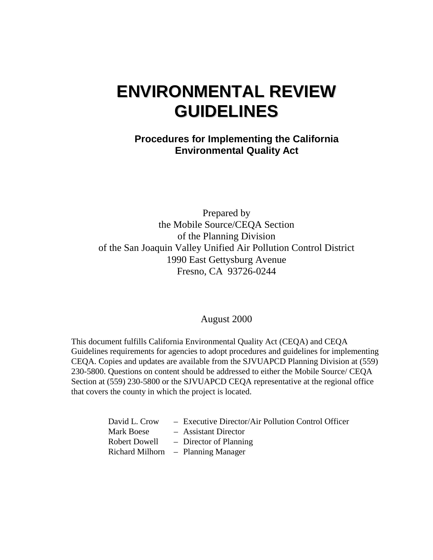# **ENVIRONMENTAL REVIEW GUIDELINES**

**Procedures for Implementing the California Environmental Quality Act** 

Prepared by the Mobile Source/CEQA Section of the Planning Division of the San Joaquin Valley Unified Air Pollution Control District 1990 East Gettysburg Avenue Fresno, CA 93726-0244

#### August 2000

This document fulfills California Environmental Quality Act (CEQA) and CEQA Guidelines requirements for agencies to adopt procedures and guidelines for implementing CEQA. Copies and updates are available from the SJVUAPCD Planning Division at (559) 230-5800. Questions on content should be addressed to either the Mobile Source/ CEQA Section at (559) 230-5800 or the SJVUAPCD CEQA representative at the regional office that covers the county in which the project is located.

| David L. Crow | - Executive Director/Air Pollution Control Officer |
|---------------|----------------------------------------------------|
| Mark Boese    | - Assistant Director                               |
| Robert Dowell | - Director of Planning                             |
|               | $Richard$ Milhorn $-$ Planning Manager             |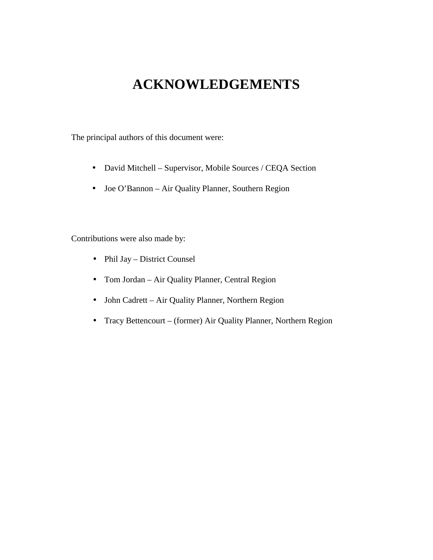## **ACKNOWLEDGEMENTS**

The principal authors of this document were:

- David Mitchell Supervisor, Mobile Sources / CEQA Section
- Joe O'Bannon Air Quality Planner, Southern Region

Contributions were also made by:

- Phil Jay District Counsel
- Tom Jordan Air Quality Planner, Central Region
- John Cadrett Air Quality Planner, Northern Region
- Tracy Bettencourt (former) Air Quality Planner, Northern Region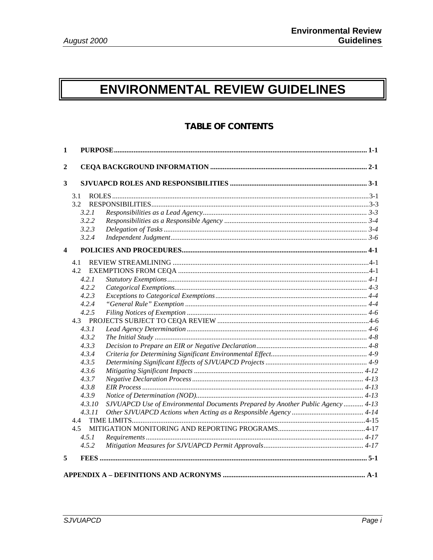## ENVIRONMENTAL REVIEW GUIDELINES

### **TABLE OF CONTENTS**

| $\mathbf{1}$            |        |                                                                                 |  |
|-------------------------|--------|---------------------------------------------------------------------------------|--|
| $\mathbf{2}$            |        |                                                                                 |  |
| 3                       |        |                                                                                 |  |
|                         | 3.1    |                                                                                 |  |
|                         | 3.2    |                                                                                 |  |
|                         | 3.2.1  |                                                                                 |  |
|                         | 3.2.2  |                                                                                 |  |
|                         | 3.2.3  |                                                                                 |  |
|                         | 3.2.4  |                                                                                 |  |
| $\overline{\mathbf{4}}$ |        |                                                                                 |  |
|                         | 4.1    |                                                                                 |  |
|                         | 4.2    |                                                                                 |  |
|                         | 4.2.1  |                                                                                 |  |
|                         | 4.2.2  |                                                                                 |  |
|                         | 4.2.3  |                                                                                 |  |
|                         | 4.2.4  |                                                                                 |  |
|                         | 4.2.5  |                                                                                 |  |
|                         |        |                                                                                 |  |
|                         | 4.3.1  |                                                                                 |  |
|                         | 4.3.2  |                                                                                 |  |
|                         | 4.3.3  |                                                                                 |  |
|                         | 4.3.4  |                                                                                 |  |
|                         | 4.3.5  |                                                                                 |  |
|                         | 4.3.6  |                                                                                 |  |
|                         | 4.3.7  |                                                                                 |  |
|                         | 4.3.8  |                                                                                 |  |
|                         | 4.3.9  |                                                                                 |  |
|                         | 4.3.10 | SJVUAPCD Use of Environmental Documents Prepared by Another Public Agency  4-13 |  |
|                         | 4.3.11 |                                                                                 |  |
|                         | 4.4    |                                                                                 |  |
|                         | 4.5    |                                                                                 |  |
|                         | 4.5.1  |                                                                                 |  |
|                         | 4.5.2  |                                                                                 |  |
| 5                       |        |                                                                                 |  |
|                         |        |                                                                                 |  |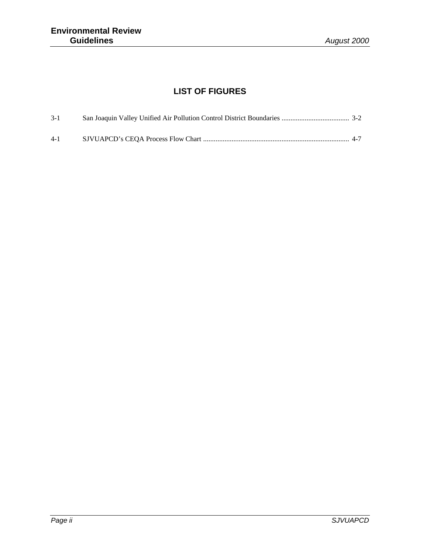## **LIST OF FIGURES**

| $3-1$   |  |
|---------|--|
| $4 - 1$ |  |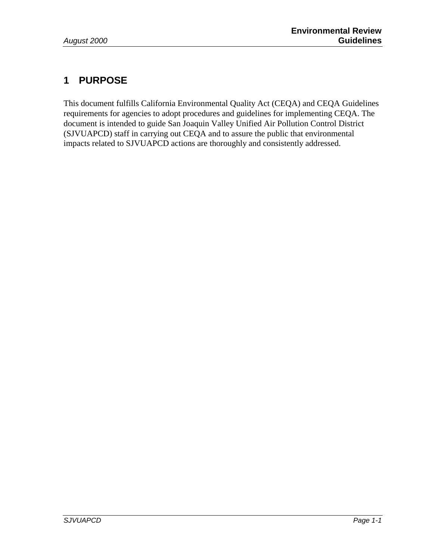## **1 PURPOSE**

This document fulfills California Environmental Quality Act (CEQA) and CEQA Guidelines requirements for agencies to adopt procedures and guidelines for implementing CEQA. The document is intended to guide San Joaquin Valley Unified Air Pollution Control District (SJVUAPCD) staff in carrying out CEQA and to assure the public that environmental impacts related to SJVUAPCD actions are thoroughly and consistently addressed.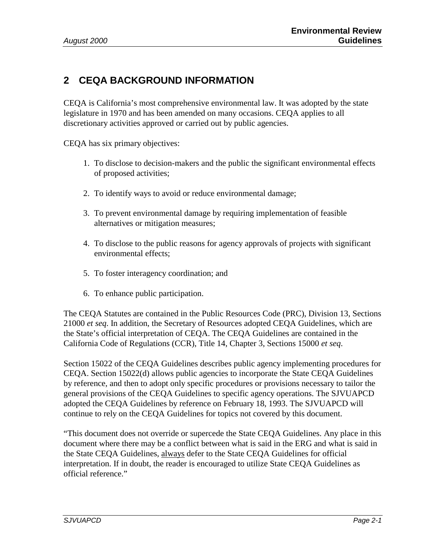## **2 CEQA BACKGROUND INFORMATION**

CEQA is California's most comprehensive environmental law. It was adopted by the state legislature in 1970 and has been amended on many occasions. CEQA applies to all discretionary activities approved or carried out by public agencies.

CEQA has six primary objectives:

- 1. To disclose to decision-makers and the public the significant environmental effects of proposed activities;
- 2. To identify ways to avoid or reduce environmental damage;
- 3. To prevent environmental damage by requiring implementation of feasible alternatives or mitigation measures;
- 4. To disclose to the public reasons for agency approvals of projects with significant environmental effects;
- 5. To foster interagency coordination; and
- 6. To enhance public participation.

The CEQA Statutes are contained in the Public Resources Code (PRC), Division 13, Sections 21000 *et seq*. In addition, the Secretary of Resources adopted CEQA Guidelines, which are the State's official interpretation of CEQA. The CEQA Guidelines are contained in the California Code of Regulations (CCR), Title 14, Chapter 3, Sections 15000 *et seq*.

Section 15022 of the CEQA Guidelines describes public agency implementing procedures for CEQA. Section 15022(d) allows public agencies to incorporate the State CEQA Guidelines by reference, and then to adopt only specific procedures or provisions necessary to tailor the general provisions of the CEQA Guidelines to specific agency operations. The SJVUAPCD adopted the CEQA Guidelines by reference on February 18, 1993. The SJVUAPCD will continue to rely on the CEQA Guidelines for topics not covered by this document.

"This document does not override or supercede the State CEQA Guidelines. Any place in this document where there may be a conflict between what is said in the ERG and what is said in the State CEQA Guidelines, always defer to the State CEQA Guidelines for official interpretation. If in doubt, the reader is encouraged to utilize State CEQA Guidelines as official reference."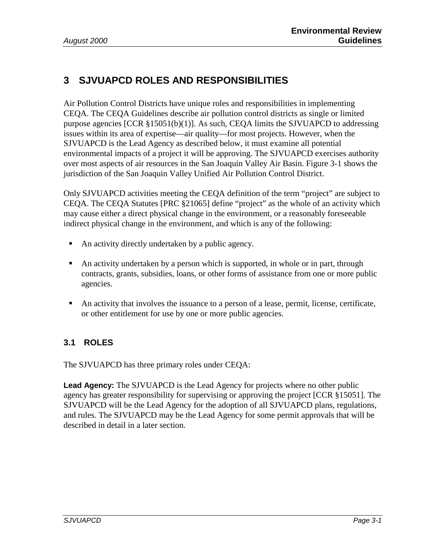## **3 SJVUAPCD ROLES AND RESPONSIBILITIES**

Air Pollution Control Districts have unique roles and responsibilities in implementing CEQA. The CEQA Guidelines describe air pollution control districts as single or limited purpose agencies [CCR §15051(b)(1)]. As such, CEQA limits the SJVUAPCD to addressing issues within its area of expertise—air quality—for most projects. However, when the SJVUAPCD is the Lead Agency as described below, it must examine all potential environmental impacts of a project it will be approving. The SJVUAPCD exercises authority over most aspects of air resources in the San Joaquin Valley Air Basin. Figure 3-1 shows the jurisdiction of the San Joaquin Valley Unified Air Pollution Control District.

Only SJVUAPCD activities meeting the CEQA definition of the term "project" are subject to CEQA. The CEQA Statutes [PRC §21065] define "project" as the whole of an activity which may cause either a direct physical change in the environment, or a reasonably foreseeable indirect physical change in the environment, and which is any of the following:

- An activity directly undertaken by a public agency.
- ! An activity undertaken by a person which is supported, in whole or in part, through contracts, grants, subsidies, loans, or other forms of assistance from one or more public agencies.
- ! An activity that involves the issuance to a person of a lease, permit, license, certificate, or other entitlement for use by one or more public agencies.

#### **3.1 ROLES**

The SJVUAPCD has three primary roles under CEQA:

**Lead Agency:** The SJVUAPCD is the Lead Agency for projects where no other public agency has greater responsibility for supervising or approving the project [CCR §15051]. The SJVUAPCD will be the Lead Agency for the adoption of all SJVUAPCD plans, regulations, and rules. The SJVUAPCD may be the Lead Agency for some permit approvals that will be described in detail in a later section.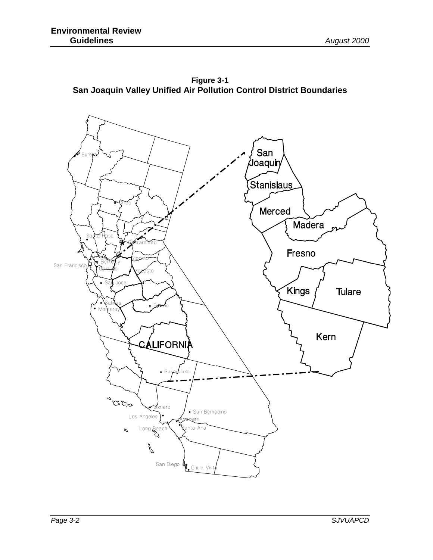**Figure 3-1 San Joaquin Valley Unified Air Pollution Control District Boundaries** 

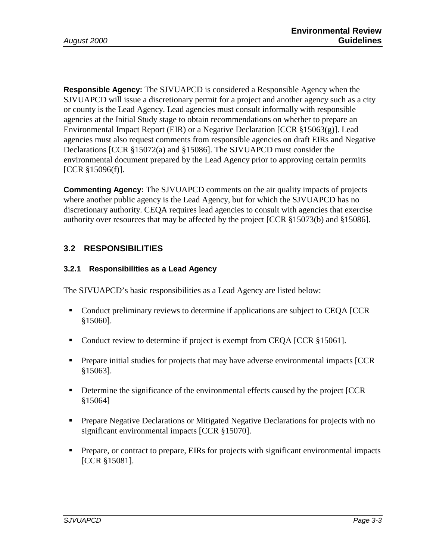**Responsible Agency:** The SJVUAPCD is considered a Responsible Agency when the SJVUAPCD will issue a discretionary permit for a project and another agency such as a city or county is the Lead Agency. Lead agencies must consult informally with responsible agencies at the Initial Study stage to obtain recommendations on whether to prepare an Environmental Impact Report (EIR) or a Negative Declaration [CCR §15063(g)]. Lead agencies must also request comments from responsible agencies on draft EIRs and Negative Declarations [CCR §15072(a) and §15086]. The SJVUAPCD must consider the environmental document prepared by the Lead Agency prior to approving certain permits [CCR §15096(f)].

**Commenting Agency:** The SJVUAPCD comments on the air quality impacts of projects where another public agency is the Lead Agency, but for which the SJVUAPCD has no discretionary authority. CEQA requires lead agencies to consult with agencies that exercise authority over resources that may be affected by the project [CCR §15073(b) and §15086].

#### **3.2 RESPONSIBILITIES**

#### **3.2.1 Responsibilities as a Lead Agency**

The SJVUAPCD's basic responsibilities as a Lead Agency are listed below:

- ! Conduct preliminary reviews to determine if applications are subject to CEQA [CCR §15060].
- Conduct review to determine if project is exempt from CEQA [CCR §15061].
- ! Prepare initial studies for projects that may have adverse environmental impacts [CCR §15063].
- ! Determine the significance of the environmental effects caused by the project [CCR §15064]
- **Prepare Negative Declarations or Mitigated Negative Declarations for projects with no** significant environmental impacts [CCR §15070].
- ! Prepare, or contract to prepare, EIRs for projects with significant environmental impacts [CCR §15081].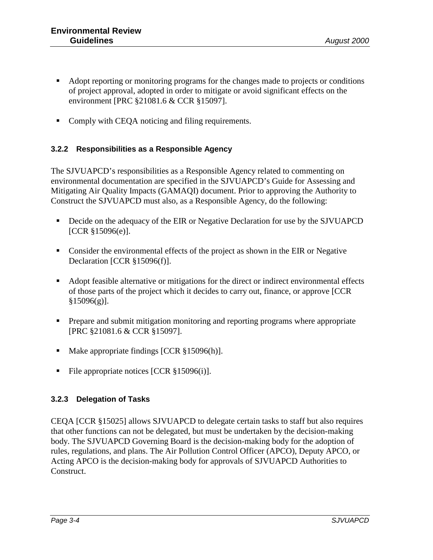- ! Adopt reporting or monitoring programs for the changes made to projects or conditions of project approval, adopted in order to mitigate or avoid significant effects on the environment [PRC §21081.6 & CCR §15097].
- Comply with CEQA noticing and filing requirements.

#### **3.2.2 Responsibilities as a Responsible Agency**

The SJVUAPCD's responsibilities as a Responsible Agency related to commenting on environmental documentation are specified in the SJVUAPCD's Guide for Assessing and Mitigating Air Quality Impacts (GAMAQI) document. Prior to approving the Authority to Construct the SJVUAPCD must also, as a Responsible Agency, do the following:

- ! Decide on the adequacy of the EIR or Negative Declaration for use by the SJVUAPCD [CCR §15096(e)].
- ! Consider the environmental effects of the project as shown in the EIR or Negative Declaration [CCR §15096(f)].
- ! Adopt feasible alternative or mitigations for the direct or indirect environmental effects of those parts of the project which it decides to carry out, finance, or approve [CCR §15096(g)].
- ! Prepare and submit mitigation monitoring and reporting programs where appropriate [PRC §21081.6 & CCR §15097].
- Make appropriate findings [CCR §15096(h)].
- File appropriate notices [CCR §15096(i)].

#### **3.2.3 Delegation of Tasks**

CEQA [CCR §15025] allows SJVUAPCD to delegate certain tasks to staff but also requires that other functions can not be delegated, but must be undertaken by the decision-making body. The SJVUAPCD Governing Board is the decision-making body for the adoption of rules, regulations, and plans. The Air Pollution Control Officer (APCO), Deputy APCO, or Acting APCO is the decision-making body for approvals of SJVUAPCD Authorities to Construct.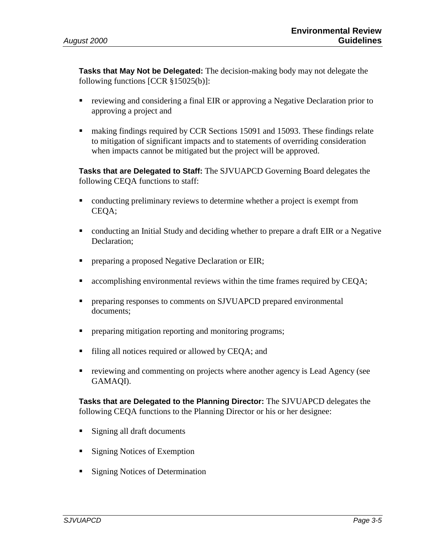**Tasks that May Not be Delegated:** The decision-making body may not delegate the following functions [CCR §15025(b)]:

- reviewing and considering a final EIR or approving a Negative Declaration prior to approving a project and
- ! making findings required by CCR Sections 15091 and 15093. These findings relate to mitigation of significant impacts and to statements of overriding consideration when impacts cannot be mitigated but the project will be approved.

**Tasks that are Delegated to Staff:** The SJVUAPCD Governing Board delegates the following CEQA functions to staff:

- conducting preliminary reviews to determine whether a project is exempt from CEQA;
- ! conducting an Initial Study and deciding whether to prepare a draft EIR or a Negative Declaration;
- **Periode 1** preparing a proposed Negative Declaration or EIR;
- accomplishing environmental reviews within the time frames required by CEOA;
- **Periodici** preparing responses to comments on SJVUAPCD prepared environmental documents;
- ! preparing mitigation reporting and monitoring programs;
- ! filing all notices required or allowed by CEQA; and
- ! reviewing and commenting on projects where another agency is Lead Agency (see GAMAQI).

**Tasks that are Delegated to the Planning Director:** The SJVUAPCD delegates the following CEQA functions to the Planning Director or his or her designee:

- Signing all draft documents
- Signing Notices of Exemption
- Signing Notices of Determination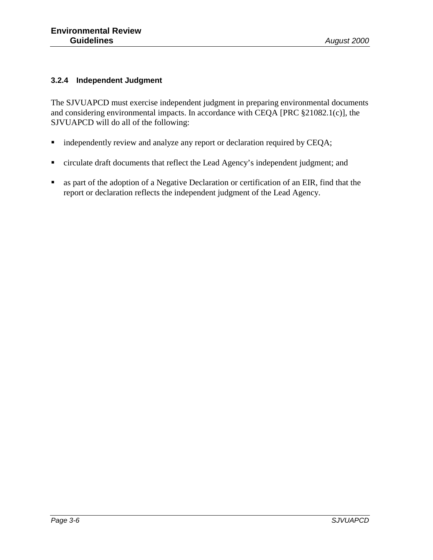#### **3.2.4 Independent Judgment**

The SJVUAPCD must exercise independent judgment in preparing environmental documents and considering environmental impacts. In accordance with CEQA [PRC §21082.1(c)], the SJVUAPCD will do all of the following:

- **Independently review and analyze any report or declaration required by CEQA;**
- ! circulate draft documents that reflect the Lead Agency's independent judgment; and
- ! as part of the adoption of a Negative Declaration or certification of an EIR, find that the report or declaration reflects the independent judgment of the Lead Agency.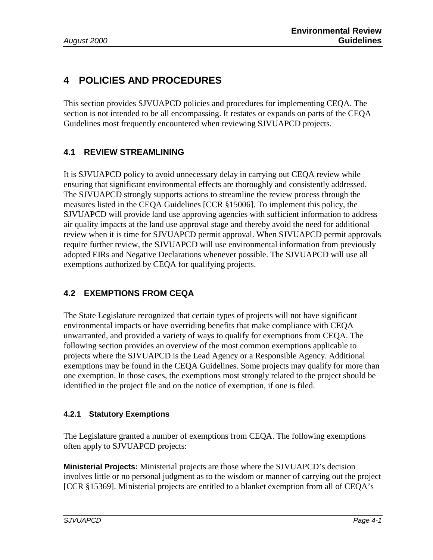## **4 POLICIES AND PROCEDURES**

This section provides SJVUAPCD policies and procedures for implementing CEQA. The section is not intended to be all encompassing. It restates or expands on parts of the CEQA Guidelines most frequently encountered when reviewing SJVUAPCD projects.

#### **4.1 REVIEW STREAMLINING**

It is SJVUAPCD policy to avoid unnecessary delay in carrying out CEQA review while ensuring that significant environmental effects are thoroughly and consistently addressed. The SJVUAPCD strongly supports actions to streamline the review process through the measures listed in the CEQA Guidelines [CCR §15006]. To implement this policy, the SJVUAPCD will provide land use approving agencies with sufficient information to address air quality impacts at the land use approval stage and thereby avoid the need for additional review when it is time for SJVUAPCD permit approval. When SJVUAPCD permit approvals require further review, the SJVUAPCD will use environmental information from previously adopted EIRs and Negative Declarations whenever possible. The SJVUAPCD will use all exemptions authorized by CEQA for qualifying projects.

#### **4.2 EXEMPTIONS FROM CEQA**

The State Legislature recognized that certain types of projects will not have significant environmental impacts or have overriding benefits that make compliance with CEQA unwarranted, and provided a variety of ways to qualify for exemptions from CEQA. The following section provides an overview of the most common exemptions applicable to projects where the SJVUAPCD is the Lead Agency or a Responsible Agency. Additional exemptions may be found in the CEQA Guidelines. Some projects may qualify for more than one exemption. In those cases, the exemptions most strongly related to the project should be identified in the project file and on the notice of exemption, if one is filed.

#### **4.2.1 Statutory Exemptions**

The Legislature granted a number of exemptions from CEQA. The following exemptions often apply to SJVUAPCD projects:

**Ministerial Projects:** Ministerial projects are those where the SJVUAPCD's decision involves little or no personal judgment as to the wisdom or manner of carrying out the project [CCR §15369]. Ministerial projects are entitled to a blanket exemption from all of CEQA's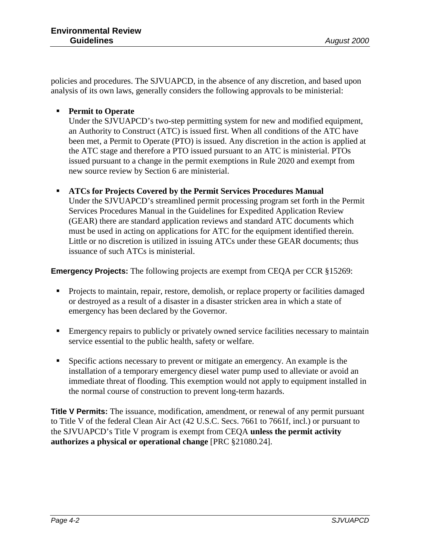policies and procedures. The SJVUAPCD, in the absence of any discretion, and based upon analysis of its own laws, generally considers the following approvals to be ministerial:

#### ! **Permit to Operate**

Under the SJVUAPCD's two-step permitting system for new and modified equipment, an Authority to Construct (ATC) is issued first. When all conditions of the ATC have been met, a Permit to Operate (PTO) is issued. Any discretion in the action is applied at the ATC stage and therefore a PTO issued pursuant to an ATC is ministerial. PTOs issued pursuant to a change in the permit exemptions in Rule 2020 and exempt from new source review by Section 6 are ministerial.

! **ATCs for Projects Covered by the Permit Services Procedures Manual** Under the SJVUAPCD's streamlined permit processing program set forth in the Permit Services Procedures Manual in the Guidelines for Expedited Application Review (GEAR) there are standard application reviews and standard ATC documents which must be used in acting on applications for ATC for the equipment identified therein. Little or no discretion is utilized in issuing ATCs under these GEAR documents; thus issuance of such ATCs is ministerial.

**Emergency Projects:** The following projects are exempt from CEQA per CCR §15269:

- ! Projects to maintain, repair, restore, demolish, or replace property or facilities damaged or destroyed as a result of a disaster in a disaster stricken area in which a state of emergency has been declared by the Governor.
- ! Emergency repairs to publicly or privately owned service facilities necessary to maintain service essential to the public health, safety or welfare.
- Specific actions necessary to prevent or mitigate an emergency. An example is the installation of a temporary emergency diesel water pump used to alleviate or avoid an immediate threat of flooding. This exemption would not apply to equipment installed in the normal course of construction to prevent long-term hazards.

**Title V Permits:** The issuance, modification, amendment, or renewal of any permit pursuant to Title V of the federal Clean Air Act (42 U.S.C. Secs. 7661 to 7661f, incl.) or pursuant to the SJVUAPCD's Title V program is exempt from CEQA **unless the permit activity authorizes a physical or operational change** [PRC §21080.24].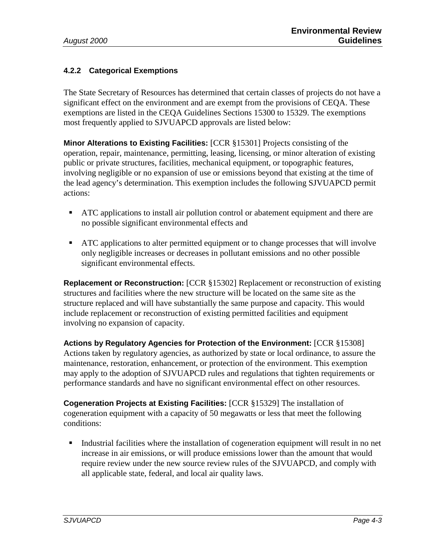#### **4.2.2 Categorical Exemptions**

The State Secretary of Resources has determined that certain classes of projects do not have a significant effect on the environment and are exempt from the provisions of CEQA. These exemptions are listed in the CEQA Guidelines Sections 15300 to 15329. The exemptions most frequently applied to SJVUAPCD approvals are listed below:

**Minor Alterations to Existing Facilities:** [CCR §15301] Projects consisting of the operation, repair, maintenance, permitting, leasing, licensing, or minor alteration of existing public or private structures, facilities, mechanical equipment, or topographic features, involving negligible or no expansion of use or emissions beyond that existing at the time of the lead agency's determination. This exemption includes the following SJVUAPCD permit actions:

- ! ATC applications to install air pollution control or abatement equipment and there are no possible significant environmental effects and
- ! ATC applications to alter permitted equipment or to change processes that will involve only negligible increases or decreases in pollutant emissions and no other possible significant environmental effects.

**Replacement or Reconstruction:** [CCR §15302] Replacement or reconstruction of existing structures and facilities where the new structure will be located on the same site as the structure replaced and will have substantially the same purpose and capacity. This would include replacement or reconstruction of existing permitted facilities and equipment involving no expansion of capacity.

**Actions by Regulatory Agencies for Protection of the Environment:** [CCR §15308] Actions taken by regulatory agencies, as authorized by state or local ordinance, to assure the maintenance, restoration, enhancement, or protection of the environment. This exemption may apply to the adoption of SJVUAPCD rules and regulations that tighten requirements or performance standards and have no significant environmental effect on other resources.

**Cogeneration Projects at Existing Facilities:** [CCR §15329] The installation of cogeneration equipment with a capacity of 50 megawatts or less that meet the following conditions:

! Industrial facilities where the installation of cogeneration equipment will result in no net increase in air emissions, or will produce emissions lower than the amount that would require review under the new source review rules of the SJVUAPCD, and comply with all applicable state, federal, and local air quality laws.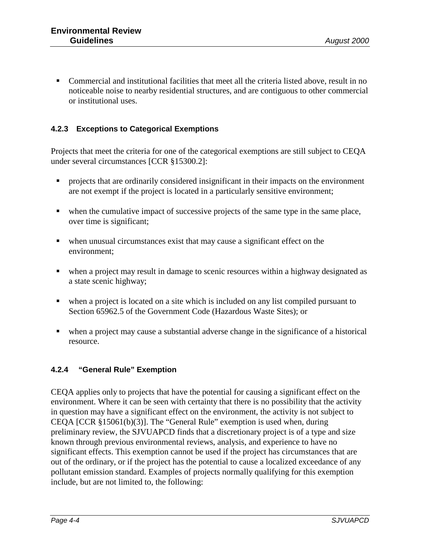! Commercial and institutional facilities that meet all the criteria listed above, result in no noticeable noise to nearby residential structures, and are contiguous to other commercial or institutional uses.

#### **4.2.3 Exceptions to Categorical Exemptions**

Projects that meet the criteria for one of the categorical exemptions are still subject to CEQA under several circumstances [CCR §15300.2]:

- ! projects that are ordinarily considered insignificant in their impacts on the environment are not exempt if the project is located in a particularly sensitive environment;
- when the cumulative impact of successive projects of the same type in the same place, over time is significant;
- when unusual circumstances exist that may cause a significant effect on the environment;
- ! when a project may result in damage to scenic resources within a highway designated as a state scenic highway;
- when a project is located on a site which is included on any list compiled pursuant to Section 65962.5 of the Government Code (Hazardous Waste Sites); or
- ! when a project may cause a substantial adverse change in the significance of a historical resource.

#### **4.2.4 "General Rule" Exemption**

CEQA applies only to projects that have the potential for causing a significant effect on the environment. Where it can be seen with certainty that there is no possibility that the activity in question may have a significant effect on the environment, the activity is not subject to CEQA [CCR §15061(b)(3)]. The "General Rule" exemption is used when, during preliminary review, the SJVUAPCD finds that a discretionary project is of a type and size known through previous environmental reviews, analysis, and experience to have no significant effects. This exemption cannot be used if the project has circumstances that are out of the ordinary, or if the project has the potential to cause a localized exceedance of any pollutant emission standard. Examples of projects normally qualifying for this exemption include, but are not limited to, the following: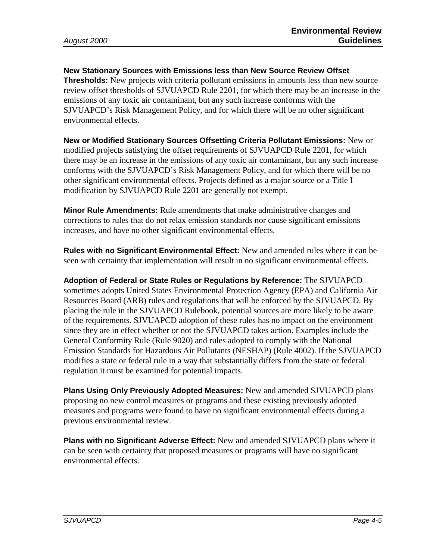**New Stationary Sources with Emissions less than New Source Review Offset Thresholds:** New projects with criteria pollutant emissions in amounts less than new source review offset thresholds of SJVUAPCD Rule 2201, for which there may be an increase in the emissions of any toxic air contaminant, but any such increase conforms with the SJVUAPCD's Risk Management Policy, and for which there will be no other significant environmental effects.

**New or Modified Stationary Sources Offsetting Criteria Pollutant Emissions:** New or modified projects satisfying the offset requirements of SJVUAPCD Rule 2201, for which there may be an increase in the emissions of any toxic air contaminant, but any such increase conforms with the SJVUAPCD's Risk Management Policy, and for which there will be no other significant environmental effects. Projects defined as a major source or a Title I modification by SJVUAPCD Rule 2201 are generally not exempt.

**Minor Rule Amendments:** Rule amendments that make administrative changes and corrections to rules that do not relax emission standards nor cause significant emissions increases, and have no other significant environmental effects.

**Rules with no Significant Environmental Effect:** New and amended rules where it can be seen with certainty that implementation will result in no significant environmental effects.

**Adoption of Federal or State Rules or Regulations by Reference:** The SJVUAPCD sometimes adopts United States Environmental Protection Agency (EPA) and California Air Resources Board (ARB) rules and regulations that will be enforced by the SJVUAPCD. By placing the rule in the SJVUAPCD Rulebook, potential sources are more likely to be aware of the requirements. SJVUAPCD adoption of these rules has no impact on the environment since they are in effect whether or not the SJVUAPCD takes action. Examples include the General Conformity Rule (Rule 9020) and rules adopted to comply with the National Emission Standards for Hazardous Air Pollutants (NESHAP) (Rule 4002). If the SJVUAPCD modifies a state or federal rule in a way that substantially differs from the state or federal regulation it must be examined for potential impacts.

**Plans Using Only Previously Adopted Measures:** New and amended SJVUAPCD plans proposing no new control measures or programs and these existing previously adopted measures and programs were found to have no significant environmental effects during a previous environmental review.

**Plans with no Significant Adverse Effect:** New and amended SJVUAPCD plans where it can be seen with certainty that proposed measures or programs will have no significant environmental effects.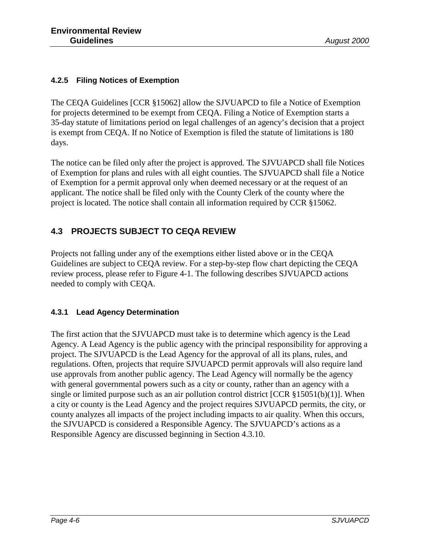#### **4.2.5 Filing Notices of Exemption**

The CEQA Guidelines [CCR §15062] allow the SJVUAPCD to file a Notice of Exemption for projects determined to be exempt from CEQA. Filing a Notice of Exemption starts a 35-day statute of limitations period on legal challenges of an agency's decision that a project is exempt from CEQA. If no Notice of Exemption is filed the statute of limitations is 180 days.

The notice can be filed only after the project is approved. The SJVUAPCD shall file Notices of Exemption for plans and rules with all eight counties. The SJVUAPCD shall file a Notice of Exemption for a permit approval only when deemed necessary or at the request of an applicant. The notice shall be filed only with the County Clerk of the county where the project is located. The notice shall contain all information required by CCR §15062.

#### **4.3 PROJECTS SUBJECT TO CEQA REVIEW**

Projects not falling under any of the exemptions either listed above or in the CEQA Guidelines are subject to CEQA review. For a step-by-step flow chart depicting the CEQA review process, please refer to Figure 4-1. The following describes SJVUAPCD actions needed to comply with CEQA.

#### **4.3.1 Lead Agency Determination**

The first action that the SJVUAPCD must take is to determine which agency is the Lead Agency. A Lead Agency is the public agency with the principal responsibility for approving a project. The SJVUAPCD is the Lead Agency for the approval of all its plans, rules, and regulations. Often, projects that require SJVUAPCD permit approvals will also require land use approvals from another public agency. The Lead Agency will normally be the agency with general governmental powers such as a city or county, rather than an agency with a single or limited purpose such as an air pollution control district [CCR §15051(b)(1)]. When a city or county is the Lead Agency and the project requires SJVUAPCD permits, the city, or county analyzes all impacts of the project including impacts to air quality. When this occurs, the SJVUAPCD is considered a Responsible Agency. The SJVUAPCD's actions as a Responsible Agency are discussed beginning in Section 4.3.10.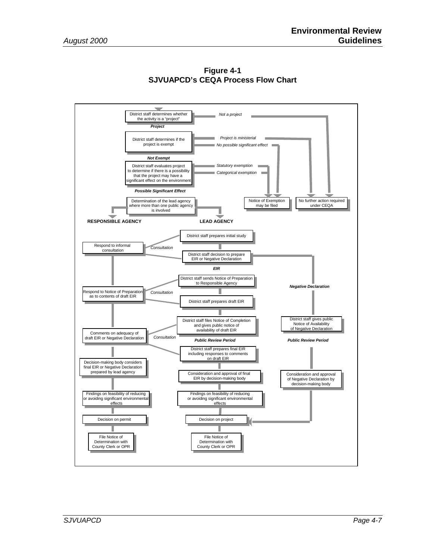

**Figure 4-1 SJVUAPCD's CEQA Process Flow Chart**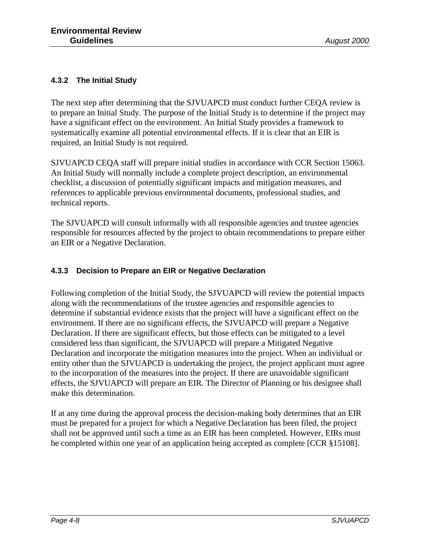#### **4.3.2 The Initial Study**

The next step after determining that the SJVUAPCD must conduct further CEQA review is to prepare an Initial Study. The purpose of the Initial Study is to determine if the project may have a significant effect on the environment. An Initial Study provides a framework to systematically examine all potential environmental effects. If it is clear that an EIR is required, an Initial Study is not required.

SJVUAPCD CEQA staff will prepare initial studies in accordance with CCR Section 15063. An Initial Study will normally include a complete project description, an environmental checklist, a discussion of potentially significant impacts and mitigation measures, and references to applicable previous environmental documents, professional studies, and technical reports.

The SJVUAPCD will consult informally with all responsible agencies and trustee agencies responsible for resources affected by the project to obtain recommendations to prepare either an EIR or a Negative Declaration.

#### **4.3.3 Decision to Prepare an EIR or Negative Declaration**

Following completion of the Initial Study, the SJVUAPCD will review the potential impacts along with the recommendations of the trustee agencies and responsible agencies to determine if substantial evidence exists that the project will have a significant effect on the environment. If there are no significant effects, the SJVUAPCD will prepare a Negative Declaration. If there are significant effects, but those effects can be mitigated to a level considered less than significant, the SJVUAPCD will prepare a Mitigated Negative Declaration and incorporate the mitigation measures into the project. When an individual or entity other than the SJVUAPCD is undertaking the project, the project applicant must agree to the incorporation of the measures into the project. If there are unavoidable significant effects, the SJVUAPCD will prepare an EIR. The Director of Planning or his designee shall make this determination.

If at any time during the approval process the decision-making body determines that an EIR must be prepared for a project for which a Negative Declaration has been filed, the project shall not be approved until such a time as an EIR has been completed. However, EIRs must be completed within one year of an application being accepted as complete [CCR §15108].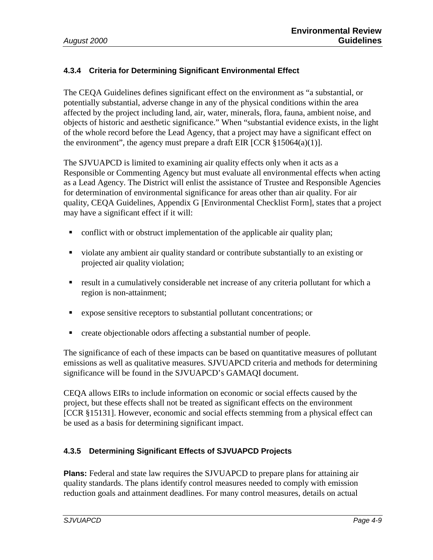#### **4.3.4 Criteria for Determining Significant Environmental Effect**

The CEQA Guidelines defines significant effect on the environment as "a substantial, or potentially substantial, adverse change in any of the physical conditions within the area affected by the project including land, air, water, minerals, flora, fauna, ambient noise, and objects of historic and aesthetic significance." When "substantial evidence exists, in the light of the whole record before the Lead Agency, that a project may have a significant effect on the environment", the agency must prepare a draft EIR [CCR  $\S 15064(a)(1)$ ].

The SJVUAPCD is limited to examining air quality effects only when it acts as a Responsible or Commenting Agency but must evaluate all environmental effects when acting as a Lead Agency. The District will enlist the assistance of Trustee and Responsible Agencies for determination of environmental significance for areas other than air quality. For air quality, CEQA Guidelines, Appendix G [Environmental Checklist Form], states that a project may have a significant effect if it will:

- ! conflict with or obstruct implementation of the applicable air quality plan;
- ! violate any ambient air quality standard or contribute substantially to an existing or projected air quality violation;
- ! result in a cumulatively considerable net increase of any criteria pollutant for which a region is non-attainment;
- ! expose sensitive receptors to substantial pollutant concentrations; or
- ! create objectionable odors affecting a substantial number of people.

The significance of each of these impacts can be based on quantitative measures of pollutant emissions as well as qualitative measures. SJVUAPCD criteria and methods for determining significance will be found in the SJVUAPCD's GAMAQI document.

CEQA allows EIRs to include information on economic or social effects caused by the project, but these effects shall not be treated as significant effects on the environment [CCR §15131]. However, economic and social effects stemming from a physical effect can be used as a basis for determining significant impact.

#### **4.3.5 Determining Significant Effects of SJVUAPCD Projects**

**Plans:** Federal and state law requires the SJVUAPCD to prepare plans for attaining air quality standards. The plans identify control measures needed to comply with emission reduction goals and attainment deadlines. For many control measures, details on actual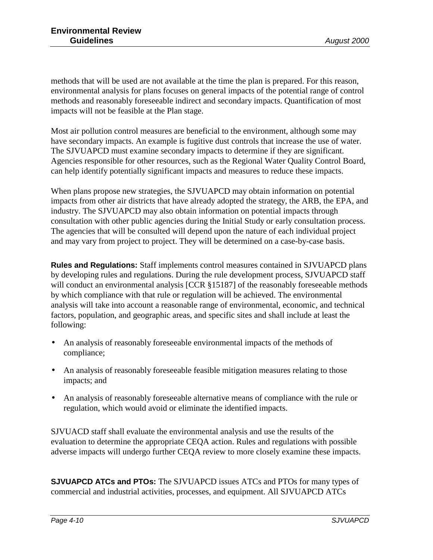methods that will be used are not available at the time the plan is prepared. For this reason, environmental analysis for plans focuses on general impacts of the potential range of control methods and reasonably foreseeable indirect and secondary impacts. Quantification of most impacts will not be feasible at the Plan stage.

Most air pollution control measures are beneficial to the environment, although some may have secondary impacts. An example is fugitive dust controls that increase the use of water. The SJVUAPCD must examine secondary impacts to determine if they are significant. Agencies responsible for other resources, such as the Regional Water Quality Control Board, can help identify potentially significant impacts and measures to reduce these impacts.

When plans propose new strategies, the SJVUAPCD may obtain information on potential impacts from other air districts that have already adopted the strategy, the ARB, the EPA, and industry. The SJVUAPCD may also obtain information on potential impacts through consultation with other public agencies during the Initial Study or early consultation process. The agencies that will be consulted will depend upon the nature of each individual project and may vary from project to project. They will be determined on a case-by-case basis.

**Rules and Regulations:** Staff implements control measures contained in SJVUAPCD plans by developing rules and regulations. During the rule development process, SJVUAPCD staff will conduct an environmental analysis [CCR §15187] of the reasonably foreseeable methods by which compliance with that rule or regulation will be achieved. The environmental analysis will take into account a reasonable range of environmental, economic, and technical factors, population, and geographic areas, and specific sites and shall include at least the following:

- An analysis of reasonably foreseeable environmental impacts of the methods of compliance;
- An analysis of reasonably foreseeable feasible mitigation measures relating to those impacts; and
- An analysis of reasonably foreseeable alternative means of compliance with the rule or regulation, which would avoid or eliminate the identified impacts.

SJVUACD staff shall evaluate the environmental analysis and use the results of the evaluation to determine the appropriate CEQA action. Rules and regulations with possible adverse impacts will undergo further CEQA review to more closely examine these impacts.

**SJVUAPCD ATCs and PTOs:** The SJVUAPCD issues ATCs and PTOs for many types of commercial and industrial activities, processes, and equipment. All SJVUAPCD ATCs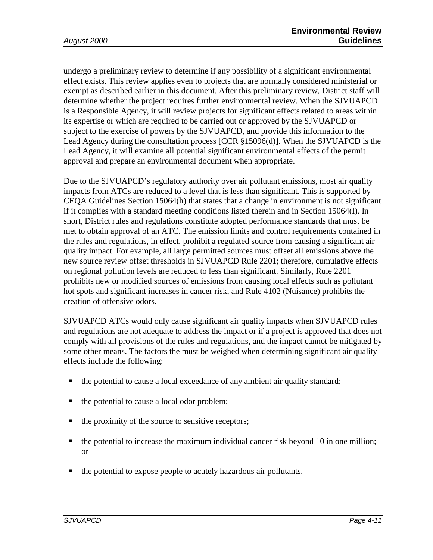undergo a preliminary review to determine if any possibility of a significant environmental effect exists. This review applies even to projects that are normally considered ministerial or exempt as described earlier in this document. After this preliminary review, District staff will determine whether the project requires further environmental review. When the SJVUAPCD is a Responsible Agency, it will review projects for significant effects related to areas within its expertise or which are required to be carried out or approved by the SJVUAPCD or subject to the exercise of powers by the SJVUAPCD, and provide this information to the Lead Agency during the consultation process [CCR §15096(d)]. When the SJVUAPCD is the Lead Agency, it will examine all potential significant environmental effects of the permit approval and prepare an environmental document when appropriate.

Due to the SJVUAPCD's regulatory authority over air pollutant emissions, most air quality impacts from ATCs are reduced to a level that is less than significant. This is supported by CEQA Guidelines Section 15064(h) that states that a change in environment is not significant if it complies with a standard meeting conditions listed therein and in Section 15064(I). In short, District rules and regulations constitute adopted performance standards that must be met to obtain approval of an ATC. The emission limits and control requirements contained in the rules and regulations, in effect, prohibit a regulated source from causing a significant air quality impact. For example, all large permitted sources must offset all emissions above the new source review offset thresholds in SJVUAPCD Rule 2201; therefore, cumulative effects on regional pollution levels are reduced to less than significant. Similarly, Rule 2201 prohibits new or modified sources of emissions from causing local effects such as pollutant hot spots and significant increases in cancer risk, and Rule 4102 (Nuisance) prohibits the creation of offensive odors.

SJVUAPCD ATCs would only cause significant air quality impacts when SJVUAPCD rules and regulations are not adequate to address the impact or if a project is approved that does not comply with all provisions of the rules and regulations, and the impact cannot be mitigated by some other means. The factors the must be weighed when determining significant air quality effects include the following:

- ! the potential to cause a local exceedance of any ambient air quality standard;
- the potential to cause a local odor problem;
- the proximity of the source to sensitive receptors;
- $\blacksquare$  the potential to increase the maximum individual cancer risk beyond 10 in one million; or
- ! the potential to expose people to acutely hazardous air pollutants.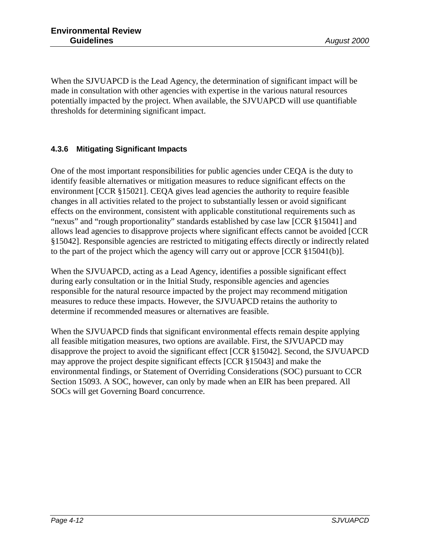When the SJVUAPCD is the Lead Agency, the determination of significant impact will be made in consultation with other agencies with expertise in the various natural resources potentially impacted by the project. When available, the SJVUAPCD will use quantifiable thresholds for determining significant impact.

#### **4.3.6 Mitigating Significant Impacts**

One of the most important responsibilities for public agencies under CEQA is the duty to identify feasible alternatives or mitigation measures to reduce significant effects on the environment [CCR §15021]. CEQA gives lead agencies the authority to require feasible changes in all activities related to the project to substantially lessen or avoid significant effects on the environment, consistent with applicable constitutional requirements such as "nexus" and "rough proportionality" standards established by case law [CCR §15041] and allows lead agencies to disapprove projects where significant effects cannot be avoided [CCR §15042]. Responsible agencies are restricted to mitigating effects directly or indirectly related to the part of the project which the agency will carry out or approve [CCR §15041(b)].

When the SJVUAPCD, acting as a Lead Agency, identifies a possible significant effect during early consultation or in the Initial Study, responsible agencies and agencies responsible for the natural resource impacted by the project may recommend mitigation measures to reduce these impacts. However, the SJVUAPCD retains the authority to determine if recommended measures or alternatives are feasible.

When the SJVUAPCD finds that significant environmental effects remain despite applying all feasible mitigation measures, two options are available. First, the SJVUAPCD may disapprove the project to avoid the significant effect [CCR §15042]. Second, the SJVUAPCD may approve the project despite significant effects [CCR §15043] and make the environmental findings, or Statement of Overriding Considerations (SOC) pursuant to CCR Section 15093. A SOC, however, can only by made when an EIR has been prepared. All SOCs will get Governing Board concurrence.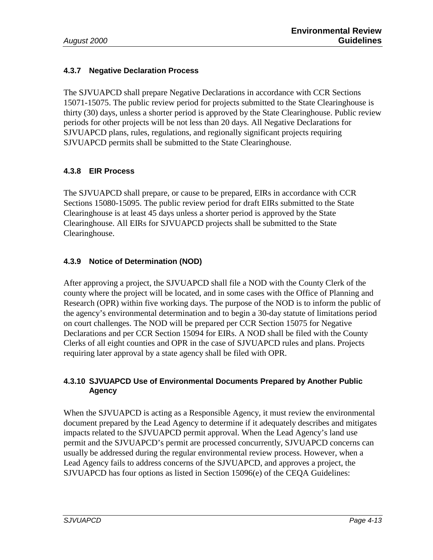#### **4.3.7 Negative Declaration Process**

The SJVUAPCD shall prepare Negative Declarations in accordance with CCR Sections 15071-15075. The public review period for projects submitted to the State Clearinghouse is thirty (30) days, unless a shorter period is approved by the State Clearinghouse. Public review periods for other projects will be not less than 20 days. All Negative Declarations for SJVUAPCD plans, rules, regulations, and regionally significant projects requiring SJVUAPCD permits shall be submitted to the State Clearinghouse.

#### **4.3.8 EIR Process**

The SJVUAPCD shall prepare, or cause to be prepared, EIRs in accordance with CCR Sections 15080-15095. The public review period for draft EIRs submitted to the State Clearinghouse is at least 45 days unless a shorter period is approved by the State Clearinghouse. All EIRs for SJVUAPCD projects shall be submitted to the State Clearinghouse.

#### **4.3.9 Notice of Determination (NOD)**

After approving a project, the SJVUAPCD shall file a NOD with the County Clerk of the county where the project will be located, and in some cases with the Office of Planning and Research (OPR) within five working days. The purpose of the NOD is to inform the public of the agency's environmental determination and to begin a 30-day statute of limitations period on court challenges. The NOD will be prepared per CCR Section 15075 for Negative Declarations and per CCR Section 15094 for EIRs. A NOD shall be filed with the County Clerks of all eight counties and OPR in the case of SJVUAPCD rules and plans. Projects requiring later approval by a state agency shall be filed with OPR.

#### **4.3.10 SJVUAPCD Use of Environmental Documents Prepared by Another Public Agency**

When the SJVUAPCD is acting as a Responsible Agency, it must review the environmental document prepared by the Lead Agency to determine if it adequately describes and mitigates impacts related to the SJVUAPCD permit approval. When the Lead Agency's land use permit and the SJVUAPCD's permit are processed concurrently, SJVUAPCD concerns can usually be addressed during the regular environmental review process. However, when a Lead Agency fails to address concerns of the SJVUAPCD, and approves a project, the SJVUAPCD has four options as listed in Section 15096(e) of the CEQA Guidelines: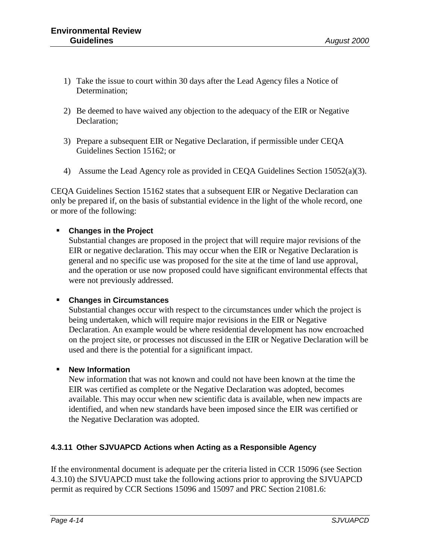- 1) Take the issue to court within 30 days after the Lead Agency files a Notice of Determination;
- 2) Be deemed to have waived any objection to the adequacy of the EIR or Negative Declaration;
- 3) Prepare a subsequent EIR or Negative Declaration, if permissible under CEQA Guidelines Section 15162; or
- 4) Assume the Lead Agency role as provided in CEQA Guidelines Section 15052(a)(3).

CEQA Guidelines Section 15162 states that a subsequent EIR or Negative Declaration can only be prepared if, on the basis of substantial evidence in the light of the whole record, one or more of the following:

#### ! **Changes in the Project**

Substantial changes are proposed in the project that will require major revisions of the EIR or negative declaration. This may occur when the EIR or Negative Declaration is general and no specific use was proposed for the site at the time of land use approval, and the operation or use now proposed could have significant environmental effects that were not previously addressed.

#### ! **Changes in Circumstances**

Substantial changes occur with respect to the circumstances under which the project is being undertaken, which will require major revisions in the EIR or Negative Declaration. An example would be where residential development has now encroached on the project site, or processes not discussed in the EIR or Negative Declaration will be used and there is the potential for a significant impact.

#### ! **New Information**

New information that was not known and could not have been known at the time the EIR was certified as complete or the Negative Declaration was adopted, becomes available. This may occur when new scientific data is available, when new impacts are identified, and when new standards have been imposed since the EIR was certified or the Negative Declaration was adopted.

#### **4.3.11 Other SJVUAPCD Actions when Acting as a Responsible Agency**

If the environmental document is adequate per the criteria listed in CCR 15096 (see Section 4.3.10) the SJVUAPCD must take the following actions prior to approving the SJVUAPCD permit as required by CCR Sections 15096 and 15097 and PRC Section 21081.6: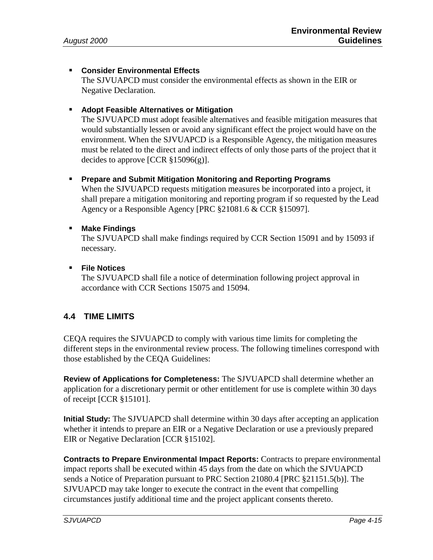#### ! **Consider Environmental Effects**

The SJVUAPCD must consider the environmental effects as shown in the EIR or Negative Declaration.

#### ! **Adopt Feasible Alternatives or Mitigation**

The SJVUAPCD must adopt feasible alternatives and feasible mitigation measures that would substantially lessen or avoid any significant effect the project would have on the environment. When the SJVUAPCD is a Responsible Agency, the mitigation measures must be related to the direct and indirect effects of only those parts of the project that it decides to approve [CCR §15096(g)].

#### ! **Prepare and Submit Mitigation Monitoring and Reporting Programs**

When the SJVUAPCD requests mitigation measures be incorporated into a project, it shall prepare a mitigation monitoring and reporting program if so requested by the Lead Agency or a Responsible Agency [PRC §21081.6 & CCR §15097].

#### ! **Make Findings**

The SJVUAPCD shall make findings required by CCR Section 15091 and by 15093 if necessary.

#### ! **File Notices**

The SJVUAPCD shall file a notice of determination following project approval in accordance with CCR Sections 15075 and 15094.

#### **4.4 TIME LIMITS**

CEQA requires the SJVUAPCD to comply with various time limits for completing the different steps in the environmental review process. The following timelines correspond with those established by the CEQA Guidelines:

**Review of Applications for Completeness:** The SJVUAPCD shall determine whether an application for a discretionary permit or other entitlement for use is complete within 30 days of receipt [CCR §15101].

**Initial Study:** The SJVUAPCD shall determine within 30 days after accepting an application whether it intends to prepare an EIR or a Negative Declaration or use a previously prepared EIR or Negative Declaration [CCR §15102].

**Contracts to Prepare Environmental Impact Reports:** Contracts to prepare environmental impact reports shall be executed within 45 days from the date on which the SJVUAPCD sends a Notice of Preparation pursuant to PRC Section 21080.4 [PRC §21151.5(b)]. The SJVUAPCD may take longer to execute the contract in the event that compelling circumstances justify additional time and the project applicant consents thereto.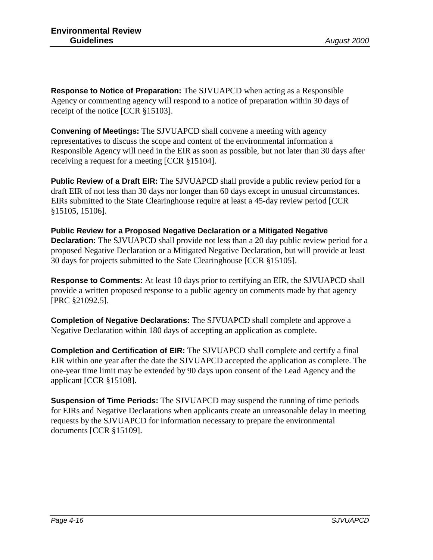**Response to Notice of Preparation:** The SJVUAPCD when acting as a Responsible Agency or commenting agency will respond to a notice of preparation within 30 days of receipt of the notice [CCR §15103].

**Convening of Meetings:** The SJVUAPCD shall convene a meeting with agency representatives to discuss the scope and content of the environmental information a Responsible Agency will need in the EIR as soon as possible, but not later than 30 days after receiving a request for a meeting [CCR §15104].

**Public Review of a Draft EIR:** The SJVUAPCD shall provide a public review period for a draft EIR of not less than 30 days nor longer than 60 days except in unusual circumstances. EIRs submitted to the State Clearinghouse require at least a 45-day review period [CCR §15105, 15106].

**Public Review for a Proposed Negative Declaration or a Mitigated Negative Declaration:** The SJVUAPCD shall provide not less than a 20 day public review period for a proposed Negative Declaration or a Mitigated Negative Declaration, but will provide at least 30 days for projects submitted to the Sate Clearinghouse [CCR §15105].

**Response to Comments:** At least 10 days prior to certifying an EIR, the SJVUAPCD shall provide a written proposed response to a public agency on comments made by that agency [PRC §21092.5].

**Completion of Negative Declarations:** The SJVUAPCD shall complete and approve a Negative Declaration within 180 days of accepting an application as complete.

**Completion and Certification of EIR:** The SJVUAPCD shall complete and certify a final EIR within one year after the date the SJVUAPCD accepted the application as complete. The one-year time limit may be extended by 90 days upon consent of the Lead Agency and the applicant [CCR §15108].

**Suspension of Time Periods:** The SJVUAPCD may suspend the running of time periods for EIRs and Negative Declarations when applicants create an unreasonable delay in meeting requests by the SJVUAPCD for information necessary to prepare the environmental documents [CCR §15109].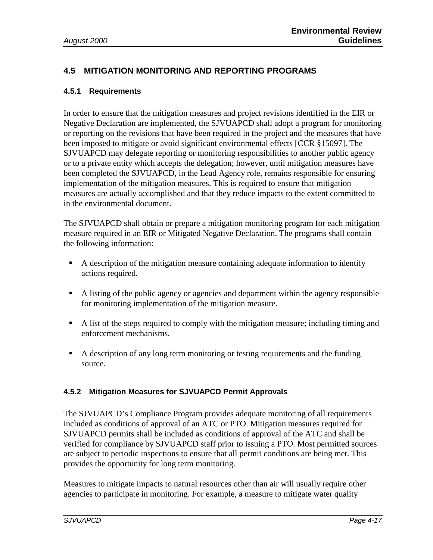#### **4.5 MITIGATION MONITORING AND REPORTING PROGRAMS**

#### **4.5.1 Requirements**

In order to ensure that the mitigation measures and project revisions identified in the EIR or Negative Declaration are implemented, the SJVUAPCD shall adopt a program for monitoring or reporting on the revisions that have been required in the project and the measures that have been imposed to mitigate or avoid significant environmental effects [CCR §15097]. The SJVUAPCD may delegate reporting or monitoring responsibilities to another public agency or to a private entity which accepts the delegation; however, until mitigation measures have been completed the SJVUAPCD, in the Lead Agency role, remains responsible for ensuring implementation of the mitigation measures. This is required to ensure that mitigation measures are actually accomplished and that they reduce impacts to the extent committed to in the environmental document.

The SJVUAPCD shall obtain or prepare a mitigation monitoring program for each mitigation measure required in an EIR or Mitigated Negative Declaration. The programs shall contain the following information:

- ! A description of the mitigation measure containing adequate information to identify actions required.
- ! A listing of the public agency or agencies and department within the agency responsible for monitoring implementation of the mitigation measure.
- ! A list of the steps required to comply with the mitigation measure; including timing and enforcement mechanisms.
- ! A description of any long term monitoring or testing requirements and the funding source.

#### **4.5.2 Mitigation Measures for SJVUAPCD Permit Approvals**

The SJVUAPCD's Compliance Program provides adequate monitoring of all requirements included as conditions of approval of an ATC or PTO. Mitigation measures required for SJVUAPCD permits shall be included as conditions of approval of the ATC and shall be verified for compliance by SJVUAPCD staff prior to issuing a PTO. Most permitted sources are subject to periodic inspections to ensure that all permit conditions are being met. This provides the opportunity for long term monitoring.

Measures to mitigate impacts to natural resources other than air will usually require other agencies to participate in monitoring. For example, a measure to mitigate water quality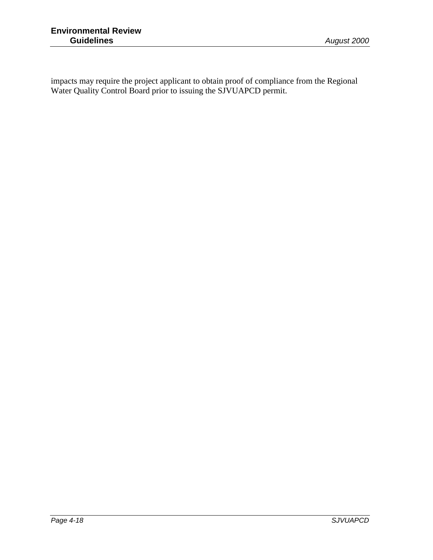impacts may require the project applicant to obtain proof of compliance from the Regional Water Quality Control Board prior to issuing the SJVUAPCD permit.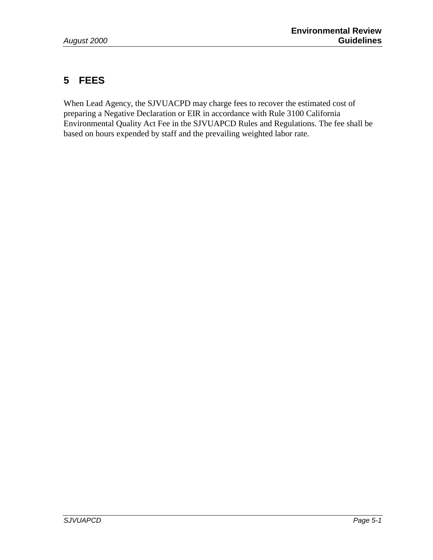## **5 FEES**

When Lead Agency, the SJVUACPD may charge fees to recover the estimated cost of preparing a Negative Declaration or EIR in accordance with Rule 3100 California Environmental Quality Act Fee in the SJVUAPCD Rules and Regulations. The fee shall be based on hours expended by staff and the prevailing weighted labor rate.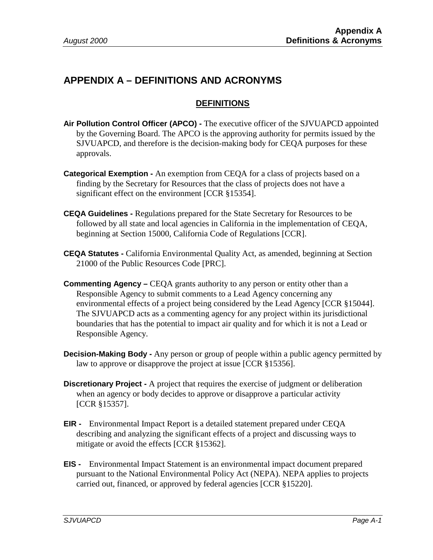## **APPENDIX A – DEFINITIONS AND ACRONYMS**

#### **DEFINITIONS**

- **Air Pollution Control Officer (APCO) -** The executive officer of the SJVUAPCD appointed by the Governing Board. The APCO is the approving authority for permits issued by the SJVUAPCD, and therefore is the decision-making body for CEQA purposes for these approvals.
- **Categorical Exemption -** An exemption from CEQA for a class of projects based on a finding by the Secretary for Resources that the class of projects does not have a significant effect on the environment [CCR §15354].
- **CEQA Guidelines -** Regulations prepared for the State Secretary for Resources to be followed by all state and local agencies in California in the implementation of CEQA, beginning at Section 15000, California Code of Regulations [CCR].
- **CEQA Statutes -** California Environmental Quality Act, as amended, beginning at Section 21000 of the Public Resources Code [PRC].
- **Commenting Agency –** CEQA grants authority to any person or entity other than a Responsible Agency to submit comments to a Lead Agency concerning any environmental effects of a project being considered by the Lead Agency [CCR §15044]. The SJVUAPCD acts as a commenting agency for any project within its jurisdictional boundaries that has the potential to impact air quality and for which it is not a Lead or Responsible Agency.
- **Decision-Making Body -** Any person or group of people within a public agency permitted by law to approve or disapprove the project at issue [CCR §15356].
- **Discretionary Project -** A project that requires the exercise of judgment or deliberation when an agency or body decides to approve or disapprove a particular activity [CCR §15357].
- **EIR -** Environmental Impact Report is a detailed statement prepared under CEQA describing and analyzing the significant effects of a project and discussing ways to mitigate or avoid the effects [CCR §15362].
- **EIS -** Environmental Impact Statement is an environmental impact document prepared pursuant to the National Environmental Policy Act (NEPA). NEPA applies to projects carried out, financed, or approved by federal agencies [CCR §15220].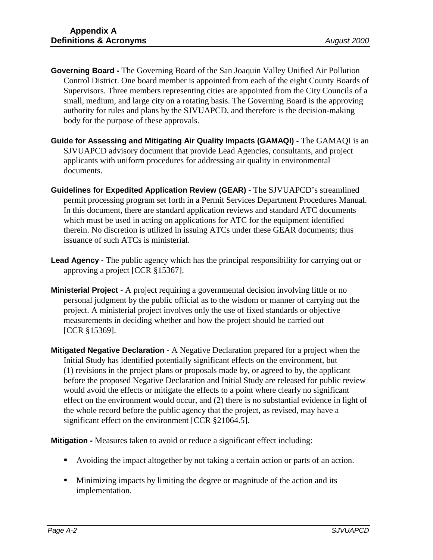- **Governing Board -** The Governing Board of the San Joaquin Valley Unified Air Pollution Control District. One board member is appointed from each of the eight County Boards of Supervisors. Three members representing cities are appointed from the City Councils of a small, medium, and large city on a rotating basis. The Governing Board is the approving authority for rules and plans by the SJVUAPCD, and therefore is the decision-making body for the purpose of these approvals.
- **Guide for Assessing and Mitigating Air Quality Impacts (GAMAQI) -** The GAMAQI is an SJVUAPCD advisory document that provide Lead Agencies, consultants, and project applicants with uniform procedures for addressing air quality in environmental documents.
- **Guidelines for Expedited Application Review (GEAR)** The SJVUAPCD's streamlined permit processing program set forth in a Permit Services Department Procedures Manual. In this document, there are standard application reviews and standard ATC documents which must be used in acting on applications for ATC for the equipment identified therein. No discretion is utilized in issuing ATCs under these GEAR documents; thus issuance of such ATCs is ministerial.
- **Lead Agency -** The public agency which has the principal responsibility for carrying out or approving a project [CCR §15367].
- **Ministerial Project -** A project requiring a governmental decision involving little or no personal judgment by the public official as to the wisdom or manner of carrying out the project. A ministerial project involves only the use of fixed standards or objective measurements in deciding whether and how the project should be carried out [CCR §15369].
- **Mitigated Negative Declaration -** A Negative Declaration prepared for a project when the Initial Study has identified potentially significant effects on the environment, but (1) revisions in the project plans or proposals made by, or agreed to by, the applicant before the proposed Negative Declaration and Initial Study are released for public review would avoid the effects or mitigate the effects to a point where clearly no significant effect on the environment would occur, and (2) there is no substantial evidence in light of the whole record before the public agency that the project, as revised, may have a significant effect on the environment [CCR §21064.5].

**Mitigation -** Measures taken to avoid or reduce a significant effect including:

- ! Avoiding the impact altogether by not taking a certain action or parts of an action.
- ! Minimizing impacts by limiting the degree or magnitude of the action and its implementation.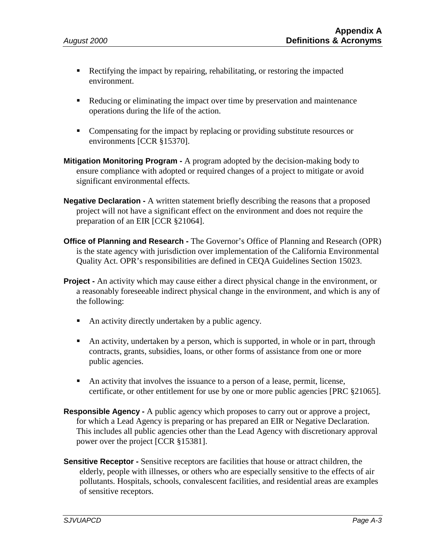- ! Rectifying the impact by repairing, rehabilitating, or restoring the impacted environment.
- ! Reducing or eliminating the impact over time by preservation and maintenance operations during the life of the action.
- Compensating for the impact by replacing or providing substitute resources or environments [CCR §15370].
- **Mitigation Monitoring Program -** A program adopted by the decision-making body to ensure compliance with adopted or required changes of a project to mitigate or avoid significant environmental effects.
- **Negative Declaration -** A written statement briefly describing the reasons that a proposed project will not have a significant effect on the environment and does not require the preparation of an EIR [CCR §21064].
- **Office of Planning and Research -** The Governor's Office of Planning and Research (OPR) is the state agency with jurisdiction over implementation of the California Environmental Quality Act. OPR's responsibilities are defined in CEQA Guidelines Section 15023.
- **Project -** An activity which may cause either a direct physical change in the environment, or a reasonably foreseeable indirect physical change in the environment, and which is any of the following:
	- ! An activity directly undertaken by a public agency.
	- ! An activity, undertaken by a person, which is supported, in whole or in part, through contracts, grants, subsidies, loans, or other forms of assistance from one or more public agencies.
	- ! An activity that involves the issuance to a person of a lease, permit, license, certificate, or other entitlement for use by one or more public agencies [PRC §21065].
- **Responsible Agency -** A public agency which proposes to carry out or approve a project, for which a Lead Agency is preparing or has prepared an EIR or Negative Declaration. This includes all public agencies other than the Lead Agency with discretionary approval power over the project [CCR §15381].
- **Sensitive Receptor -** Sensitive receptors are facilities that house or attract children, the elderly, people with illnesses, or others who are especially sensitive to the effects of air pollutants. Hospitals, schools, convalescent facilities, and residential areas are examples of sensitive receptors.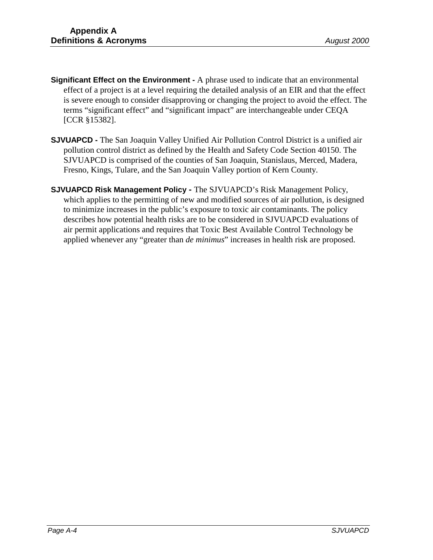- **Significant Effect on the Environment -** A phrase used to indicate that an environmental effect of a project is at a level requiring the detailed analysis of an EIR and that the effect is severe enough to consider disapproving or changing the project to avoid the effect. The terms "significant effect" and "significant impact" are interchangeable under CEQA [CCR §15382].
- **SJVUAPCD -** The San Joaquin Valley Unified Air Pollution Control District is a unified air pollution control district as defined by the Health and Safety Code Section 40150. The SJVUAPCD is comprised of the counties of San Joaquin, Stanislaus, Merced, Madera, Fresno, Kings, Tulare, and the San Joaquin Valley portion of Kern County.
- **SJVUAPCD Risk Management Policy** The SJVUAPCD's Risk Management Policy, which applies to the permitting of new and modified sources of air pollution, is designed to minimize increases in the public's exposure to toxic air contaminants. The policy describes how potential health risks are to be considered in SJVUAPCD evaluations of air permit applications and requires that Toxic Best Available Control Technology be applied whenever any "greater than *de minimus*" increases in health risk are proposed.